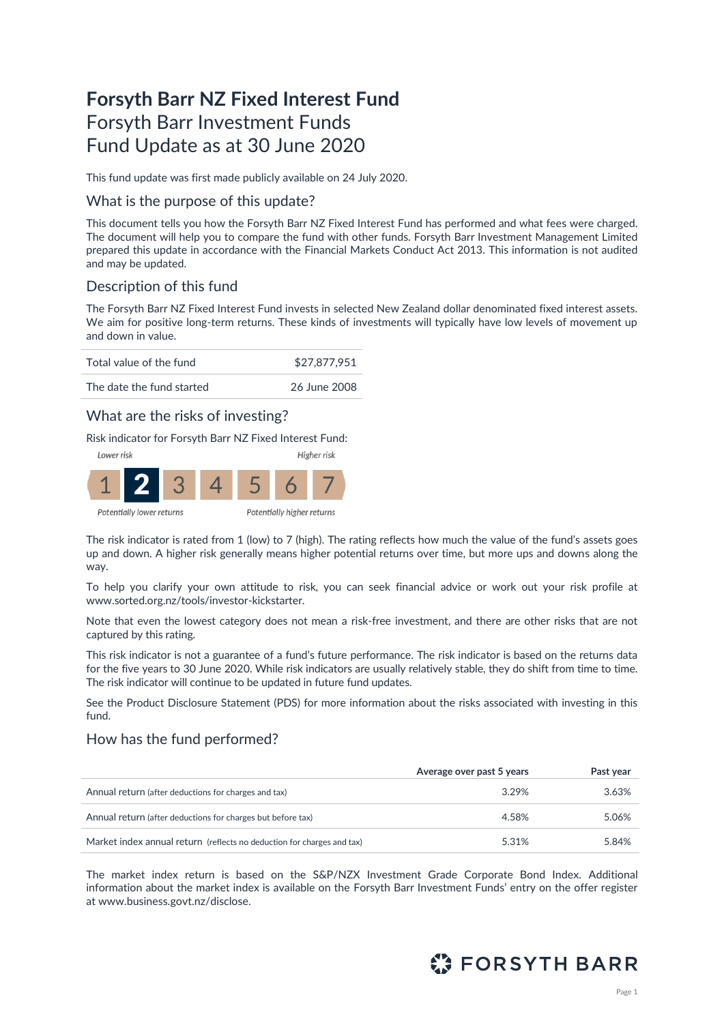# **Forsyth Barr NZ Fixed Interest Fund** Forsyth Barr Investment Funds Fund Update as at 30 June 2020

This fund update was first made publicly available on 24 July 2020.

### What is the purpose of this update?

This document tells you how the Forsyth Barr NZ Fixed Interest Fund has performed and what fees were charged. The document will help you to compare the fund with other funds. Forsyth Barr Investment Management Limited prepared this update in accordance with the Financial Markets Conduct Act 2013. This information is not audited and may be updated.

## Description of this fund

The Forsyth Barr NZ Fixed Interest Fund invests in selected New Zealand dollar denominated fixed interest assets. We aim for positive long-term returns. These kinds of investments will typically have low levels of movement up and down in value.



## What are the risks of investing?

Risk indicator for Forsyth Barr NZ Fixed Interest Fund:



Potentially lower returns

The risk indicator is rated from 1 (low) to 7 (high). The rating reflects how much the value of the fund's assets goes up and down. A higher risk generally means higher potential returns over time, but more ups and downs along the way.

To help you clarify your own attitude to risk, you can seek financial advice or work out your risk profile at [www.sorted.org.nz/tools/investor-kickstarter.](http://www.sorted.org.nz/tools/investor-kickstarter) 

Note that even the lowest category does not mean a risk-free investment, and there are other risks that are not captured by this rating.

This risk indicator is not a guarantee of a fund's future performance. The risk indicator is based on the returns data for the five years to 30 June 2020. While risk indicators are usually relatively stable, they do shift from time to time. The risk indicator will continue to be updated in future fund updates.

See the Product Disclosure Statement (PDS) for more information about the risks associated with investing in this fund.

### How has the fund performed?

|                                                                        | Average over past 5 years | Past year |
|------------------------------------------------------------------------|---------------------------|-----------|
| Annual return (after deductions for charges and tax)                   | 3.29%                     | 3.63%     |
| Annual return (after deductions for charges but before tax)            | 4.58%                     | 5.06%     |
| Market index annual return (reflects no deduction for charges and tax) | 5.31%                     | 5.84%     |

The market index return is based on the S&P/NZX Investment Grade Corporate Bond Index. Additional information about the market index is available on the Forsyth Barr Investment Funds' entry on the offer register at [www.business.govt.nz/disclose.](http://www.business.govt.nz/disclose)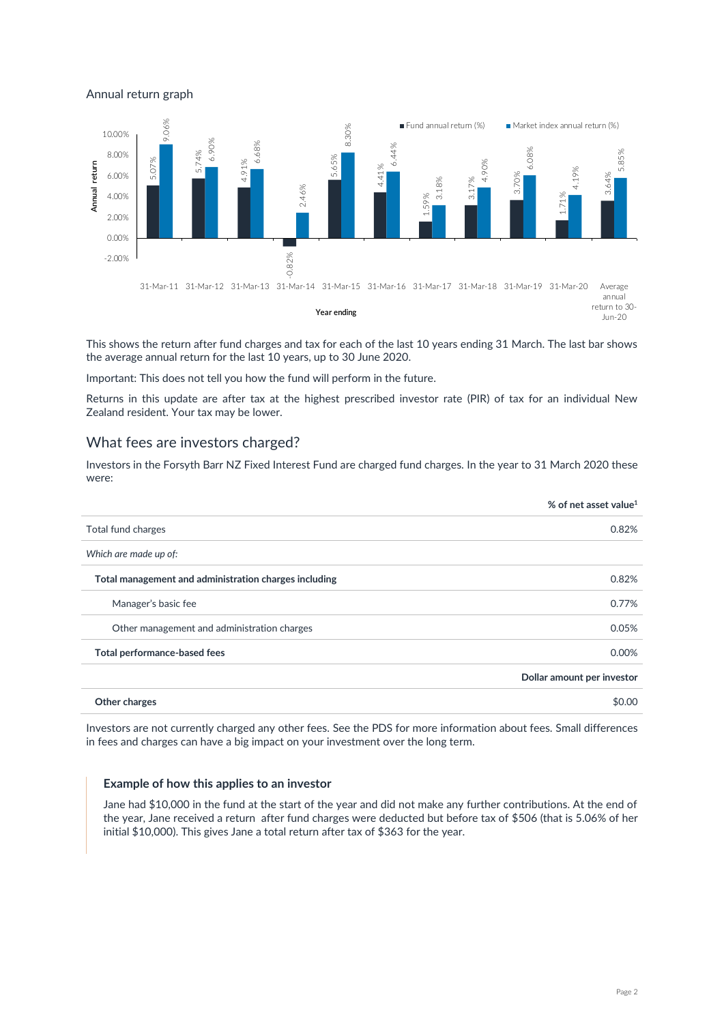Annual return graph



This shows the return after fund charges and tax for each of the last 10 years ending 31 March. The last bar shows the average annual return for the last 10 years, up to 30 June 2020.

Important: This does not tell you how the fund will perform in the future.

Returns in this update are after tax at the highest prescribed investor rate (PIR) of tax for an individual New Zealand resident. Your tax may be lower.

### What fees are investors charged?

Investors in the Forsyth Barr NZ Fixed Interest Fund are charged fund charges. In the year to 31 March 2020 these were:

|                                                       | % of net asset value <sup>1</sup> |
|-------------------------------------------------------|-----------------------------------|
| Total fund charges                                    | 0.82%                             |
| Which are made up of:                                 |                                   |
| Total management and administration charges including | 0.82%                             |
| Manager's basic fee                                   | 0.77%                             |
| Other management and administration charges           | 0.05%                             |
| Total performance-based fees                          | 0.00%                             |
|                                                       | Dollar amount per investor        |
| Other charges                                         | \$0.00                            |

Investors are not currently charged any other fees. See the PDS for more information about fees. Small differences in fees and charges can have a big impact on your investment over the long term.

#### **Example of how this applies to an investor**

Jane had \$10,000 in the fund at the start of the year and did not make any further contributions. At the end of the year, Jane received a return after fund charges were deducted but before tax of \$506 (that is 5.06% of her initial \$10,000). This gives Jane a total return after tax of \$363 for the year.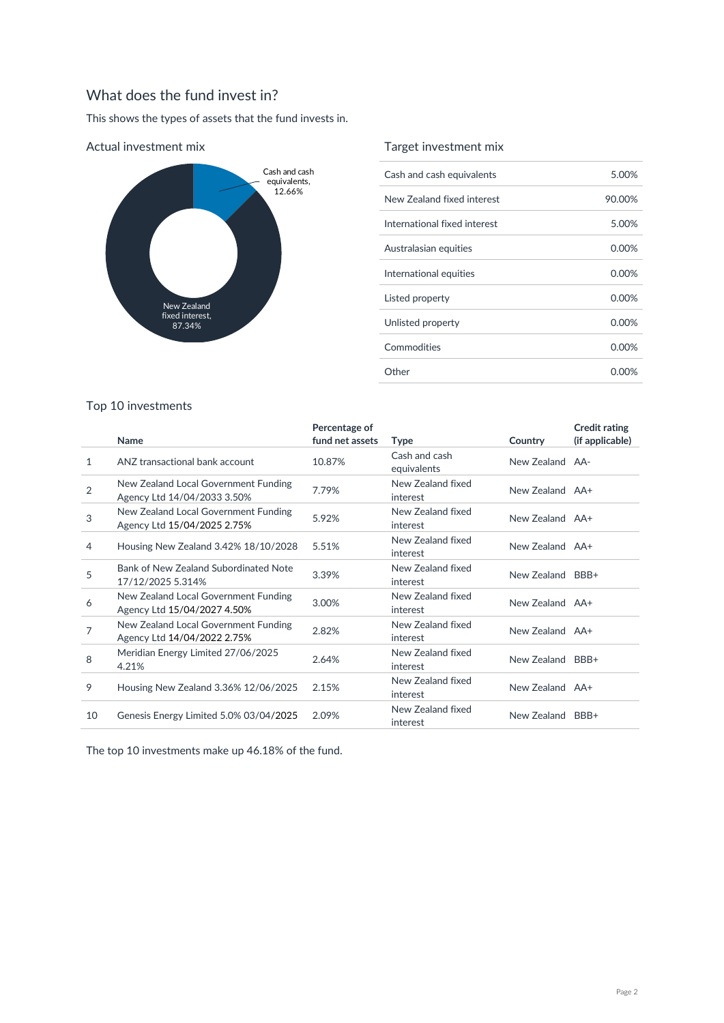## What does the fund invest in?

This shows the types of assets that the fund invests in.



### Actual investment mix

### Target investment mix

| Cash and cash equivalents    | 5.00%    |
|------------------------------|----------|
| New Zealand fixed interest   | 90.00%   |
| International fixed interest | 5.00%    |
| Australasian equities        | 0.00%    |
| International equities       | $0.00\%$ |
| Listed property              | $0.00\%$ |
| Unlisted property            | $0.00\%$ |
| Commodities                  | $0.00\%$ |
| Other                        | 0.00%    |

## Top 10 investments

|                | Name                                                                | Percentage of<br>fund net assets | <b>Type</b>                   | Country          | <b>Credit rating</b><br>(if applicable) |
|----------------|---------------------------------------------------------------------|----------------------------------|-------------------------------|------------------|-----------------------------------------|
| 1              | ANZ transactional bank account                                      | 10.87%                           | Cash and cash<br>equivalents  | New Zealand AA-  |                                         |
| $\overline{2}$ | New Zealand Local Government Funding<br>Agency Ltd 14/04/2033 3.50% | 7.79%                            | New Zealand fixed<br>interest | New Zealand AA+  |                                         |
| 3              | New Zealand Local Government Funding<br>Agency Ltd 15/04/2025 2.75% | 5.92%                            | New Zealand fixed<br>interest | New Zealand AA+  |                                         |
| 4              | Housing New Zealand 3.42% 18/10/2028                                | 5.51%                            | New Zealand fixed<br>interest | New Zealand AA+  |                                         |
| 5              | Bank of New Zealand Subordinated Note<br>17/12/2025 5.314%          | 3.39%                            | New Zealand fixed<br>interest | New Zealand      | BBB+                                    |
| 6              | New Zealand Local Government Funding<br>Agency Ltd 15/04/2027 4.50% | 3.00%                            | New Zealand fixed<br>interest | New Zealand AA+  |                                         |
| 7              | New Zealand Local Government Funding<br>Agency Ltd 14/04/2022 2.75% | 2.82%                            | New Zealand fixed<br>interest | New Zealand AA+  |                                         |
| 8              | Meridian Energy Limited 27/06/2025<br>4.21%                         | 2.64%                            | New Zealand fixed<br>interest | New Zealand BBB+ |                                         |
| 9              | Housing New Zealand 3.36% 12/06/2025                                | 2.15%                            | New Zealand fixed<br>interest | New Zealand AA+  |                                         |
| 10             | Genesis Energy Limited 5.0% 03/04/2025                              | 2.09%                            | New Zealand fixed<br>interest | New Zealand      | BBB+                                    |
|                |                                                                     |                                  |                               |                  |                                         |

The top 10 investments make up 46.18% of the fund.